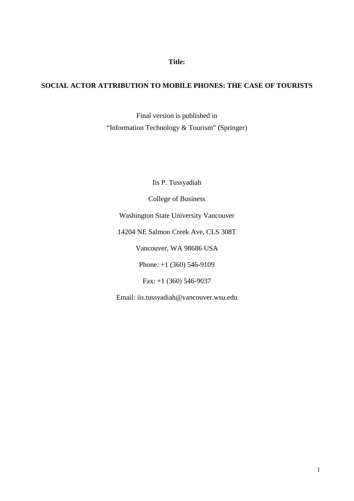**Title:**

# **SOCIAL ACTOR ATTRIBUTION TO MOBILE PHONES: THE CASE OF TOURISTS**

Final version is published in "Information Technology & Tourism" (Springer)

Iis P. Tussyadiah

College of Business

Washington State University Vancouver

14204 NE Salmon Creek Ave, CLS 308T

Vancouver, WA 98686 USA

Phone: +1 (360) 546-9109

Fax: +1 (360) 546-9037

Email: [iis.tussyadiah@vancouver.wsu.edu](mailto:iis.tussyadiah@vancouver.wsu.edu)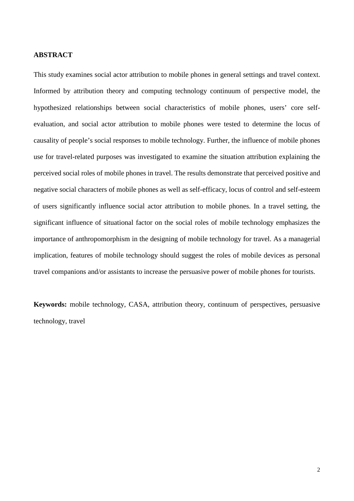### **ABSTRACT**

This study examines social actor attribution to mobile phones in general settings and travel context. Informed by attribution theory and computing technology continuum of perspective model, the hypothesized relationships between social characteristics of mobile phones, users' core selfevaluation, and social actor attribution to mobile phones were tested to determine the locus of causality of people's social responses to mobile technology. Further, the influence of mobile phones use for travel-related purposes was investigated to examine the situation attribution explaining the perceived social roles of mobile phones in travel. The results demonstrate that perceived positive and negative social characters of mobile phones as well as self-efficacy, locus of control and self-esteem of users significantly influence social actor attribution to mobile phones. In a travel setting, the significant influence of situational factor on the social roles of mobile technology emphasizes the importance of anthropomorphism in the designing of mobile technology for travel. As a managerial implication, features of mobile technology should suggest the roles of mobile devices as personal travel companions and/or assistants to increase the persuasive power of mobile phones for tourists.

**Keywords:** mobile technology, CASA, attribution theory, continuum of perspectives, persuasive technology, travel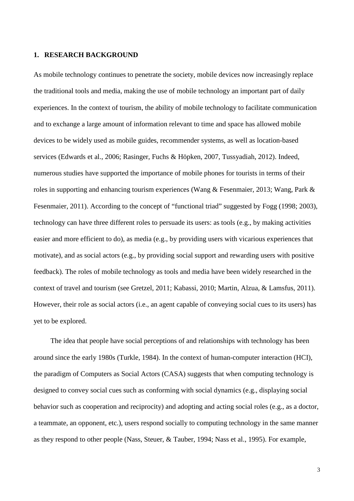#### **1. RESEARCH BACKGROUND**

As mobile technology continues to penetrate the society, mobile devices now increasingly replace the traditional tools and media, making the use of mobile technology an important part of daily experiences. In the context of tourism, the ability of mobile technology to facilitate communication and to exchange a large amount of information relevant to time and space has allowed mobile devices to be widely used as mobile guides, recommender systems, as well as location-based services (Edwards et al., 2006; Rasinger, Fuchs & Höpken, 2007, Tussyadiah, 2012). Indeed, numerous studies have supported the importance of mobile phones for tourists in terms of their roles in supporting and enhancing tourism experiences (Wang & Fesenmaier, 2013; Wang, Park & Fesenmaier, 2011). According to the concept of "functional triad" suggested by Fogg (1998; 2003), technology can have three different roles to persuade its users: as tools (e.g., by making activities easier and more efficient to do), as media (e.g., by providing users with vicarious experiences that motivate), and as social actors (e.g., by providing social support and rewarding users with positive feedback). The roles of mobile technology as tools and media have been widely researched in the context of travel and tourism (see Gretzel, 2011; Kabassi, 2010; Martin, Alzua, & Lamsfus, 2011). However, their role as social actors (i.e., an agent capable of conveying social cues to its users) has yet to be explored.

The idea that people have social perceptions of and relationships with technology has been around since the early 1980s (Turkle, 1984). In the context of human-computer interaction (HCI), the paradigm of Computers as Social Actors (CASA) suggests that when computing technology is designed to convey social cues such as conforming with social dynamics (e.g., displaying social behavior such as cooperation and reciprocity) and adopting and acting social roles (e.g., as a doctor, a teammate, an opponent, etc.), users respond socially to computing technology in the same manner as they respond to other people (Nass, Steuer, & Tauber, 1994; Nass et al., 1995). For example,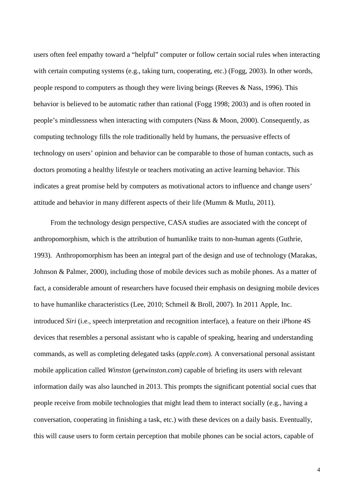users often feel empathy toward a "helpful" computer or follow certain social rules when interacting with certain computing systems (e.g., taking turn, cooperating, etc.) (Fogg, 2003). In other words, people respond to computers as though they were living beings (Reeves & Nass, 1996). This behavior is believed to be automatic rather than rational (Fogg 1998; 2003) and is often rooted in people's mindlessness when interacting with computers (Nass & Moon, 2000). Consequently, as computing technology fills the role traditionally held by humans, the persuasive effects of technology on users' opinion and behavior can be comparable to those of human contacts, such as doctors promoting a healthy lifestyle or teachers motivating an active learning behavior. This indicates a great promise held by computers as motivational actors to influence and change users' attitude and behavior in many different aspects of their life (Mumm & Mutlu, 2011).

From the technology design perspective, CASA studies are associated with the concept of anthropomorphism, which is the attribution of humanlike traits to non-human agents (Guthrie, 1993). Anthropomorphism has been an integral part of the design and use of technology (Marakas, Johnson & Palmer, 2000), including those of mobile devices such as mobile phones. As a matter of fact, a considerable amount of researchers have focused their emphasis on designing mobile devices to have humanlike characteristics (Lee, 2010; Schmeil & Broll, 2007). In 2011 Apple, Inc. introduced *Siri* (i.e., speech interpretation and recognition interface), a feature on their iPhone 4S devices that resembles a personal assistant who is capable of speaking, hearing and understanding commands, as well as completing delegated tasks (*apple.com*). A conversational personal assistant mobile application called *Winston* (*getwinston.com*) capable of briefing its users with relevant information daily was also launched in 2013. This prompts the significant potential social cues that people receive from mobile technologies that might lead them to interact socially (e.g., having a conversation, cooperating in finishing a task, etc.) with these devices on a daily basis. Eventually, this will cause users to form certain perception that mobile phones can be social actors, capable of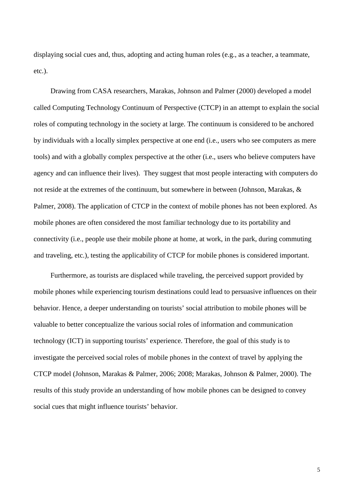displaying social cues and, thus, adopting and acting human roles (e.g., as a teacher, a teammate, etc.).

Drawing from CASA researchers, Marakas, Johnson and Palmer (2000) developed a model called Computing Technology Continuum of Perspective (CTCP) in an attempt to explain the social roles of computing technology in the society at large. The continuum is considered to be anchored by individuals with a locally simplex perspective at one end (i.e., users who see computers as mere tools) and with a globally complex perspective at the other (i.e., users who believe computers have agency and can influence their lives). They suggest that most people interacting with computers do not reside at the extremes of the continuum, but somewhere in between (Johnson, Marakas, & Palmer, 2008). The application of CTCP in the context of mobile phones has not been explored. As mobile phones are often considered the most familiar technology due to its portability and connectivity (i.e., people use their mobile phone at home, at work, in the park, during commuting and traveling, etc.), testing the applicability of CTCP for mobile phones is considered important.

Furthermore, as tourists are displaced while traveling, the perceived support provided by mobile phones while experiencing tourism destinations could lead to persuasive influences on their behavior. Hence, a deeper understanding on tourists' social attribution to mobile phones will be valuable to better conceptualize the various social roles of information and communication technology (ICT) in supporting tourists' experience. Therefore, the goal of this study is to investigate the perceived social roles of mobile phones in the context of travel by applying the CTCP model (Johnson, Marakas & Palmer, 2006; 2008; Marakas, Johnson & Palmer, 2000). The results of this study provide an understanding of how mobile phones can be designed to convey social cues that might influence tourists' behavior.

5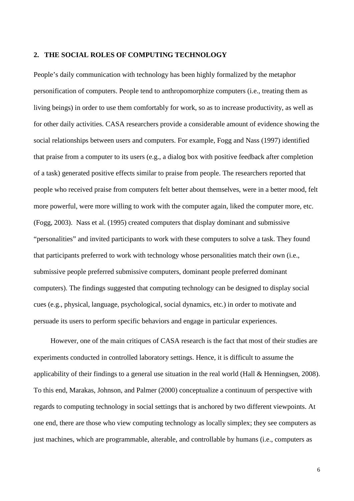#### **2. THE SOCIAL ROLES OF COMPUTING TECHNOLOGY**

People's daily communication with technology has been highly formalized by the metaphor personification of computers. People tend to anthropomorphize computers (i.e., treating them as living beings) in order to use them comfortably for work, so as to increase productivity, as well as for other daily activities. CASA researchers provide a considerable amount of evidence showing the social relationships between users and computers. For example, Fogg and Nass (1997) identified that praise from a computer to its users (e.g., a dialog box with positive feedback after completion of a task) generated positive effects similar to praise from people. The researchers reported that people who received praise from computers felt better about themselves, were in a better mood, felt more powerful, were more willing to work with the computer again, liked the computer more, etc. (Fogg, 2003). Nass et al. (1995) created computers that display dominant and submissive "personalities" and invited participants to work with these computers to solve a task. They found that participants preferred to work with technology whose personalities match their own (i.e., submissive people preferred submissive computers, dominant people preferred dominant computers). The findings suggested that computing technology can be designed to display social cues (e.g., physical, language, psychological, social dynamics, etc.) in order to motivate and persuade its users to perform specific behaviors and engage in particular experiences.

However, one of the main critiques of CASA research is the fact that most of their studies are experiments conducted in controlled laboratory settings. Hence, it is difficult to assume the applicability of their findings to a general use situation in the real world (Hall & Henningsen, 2008). To this end, Marakas, Johnson, and Palmer (2000) conceptualize a continuum of perspective with regards to computing technology in social settings that is anchored by two different viewpoints. At one end, there are those who view computing technology as locally simplex; they see computers as just machines, which are programmable, alterable, and controllable by humans (i.e., computers as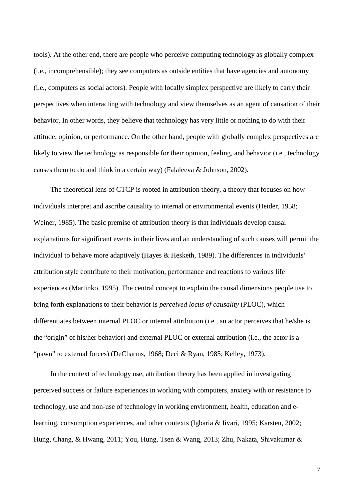tools). At the other end, there are people who perceive computing technology as globally complex (i.e., incomprehensible); they see computers as outside entities that have agencies and autonomy (i.e., computers as social actors). People with locally simplex perspective are likely to carry their perspectives when interacting with technology and view themselves as an agent of causation of their behavior. In other words, they believe that technology has very little or nothing to do with their attitude, opinion, or performance. On the other hand, people with globally complex perspectives are likely to view the technology as responsible for their opinion, feeling, and behavior (i.e., technology causes them to do and think in a certain way) (Falaleeva & Johnson, 2002).

The theoretical lens of CTCP is rooted in attribution theory, a theory that focuses on how individuals interpret and ascribe causality to internal or environmental events (Heider, 1958; Weiner, 1985). The basic premise of attribution theory is that individuals develop causal explanations for significant events in their lives and an understanding of such causes will permit the individual to behave more adaptively (Hayes & Hesketh, 1989). The differences in individuals' attribution style contribute to their motivation, performance and reactions to various life experiences (Martinko, 1995). The central concept to explain the causal dimensions people use to bring forth explanations to their behavior is *perceived locus of causality* (PLOC), which differentiates between internal PLOC or internal attribution (i.e., an actor perceives that he/she is the "origin" of his/her behavior) and external PLOC or external attribution (i.e., the actor is a "pawn" to external forces) (DeCharms, 1968; Deci & Ryan, 1985; Kelley, 1973).

In the context of technology use, attribution theory has been applied in investigating perceived success or failure experiences in working with computers, anxiety with or resistance to technology, use and non-use of technology in working environment, health, education and elearning, consumption experiences, and other contexts (Igbaria & Iivari, 1995; Karsten, 2002; Hung, Chang, & Hwang, 2011; You, Hung, Tsen & Wang, 2013; Zhu, Nakata, Shivakumar &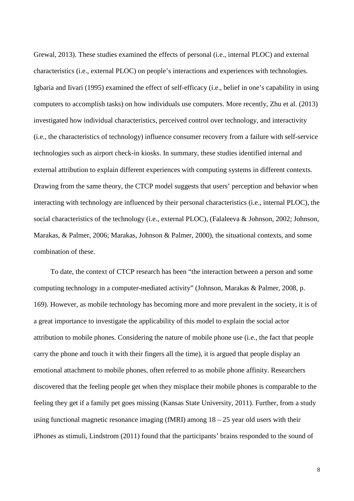Grewal, 2013). These studies examined the effects of personal (i.e., internal PLOC) and external characteristics (i.e., external PLOC) on people's interactions and experiences with technologies. Igbaria and Iivari (1995) examined the effect of self-efficacy (i.e., belief in one's capability in using computers to accomplish tasks) on how individuals use computers. More recently, Zhu et al. (2013) investigated how individual characteristics, perceived control over technology, and interactivity (i.e., the characteristics of technology) influence consumer recovery from a failure with self-service technologies such as airport check-in kiosks. In summary, these studies identified internal and external attribution to explain different experiences with computing systems in different contexts. Drawing from the same theory, the CTCP model suggests that users' perception and behavior when interacting with technology are influenced by their personal characteristics (i.e., internal PLOC), the social characteristics of the technology (i.e., external PLOC), (Falaleeva & Johnson, 2002; Johnson, Marakas, & Palmer, 2006; Marakas, Johnson & Palmer, 2000), the situational contexts, and some combination of these.

To date, the context of CTCP research has been "the interaction between a person and some computing technology in a computer-mediated activity" (Johnson, Marakas & Palmer, 2008, p. 169). However, as mobile technology has becoming more and more prevalent in the society, it is of a great importance to investigate the applicability of this model to explain the social actor attribution to mobile phones. Considering the nature of mobile phone use (i.e., the fact that people carry the phone and touch it with their fingers all the time), it is argued that people display an emotional attachment to mobile phones, often referred to as mobile phone affinity. Researchers discovered that the feeling people get when they misplace their mobile phones is comparable to the feeling they get if a family pet goes missing (Kansas State University, 2011). Further, from a study using functional magnetic resonance imaging (fMRI) among  $18 - 25$  year old users with their iPhones as stimuli, Lindstrom (2011) found that the participants' brains responded to the sound of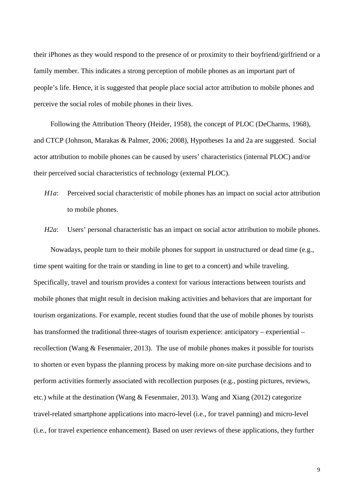their iPhones as they would respond to the presence of or proximity to their boyfriend/girlfriend or a family member. This indicates a strong perception of mobile phones as an important part of people's life. Hence, it is suggested that people place social actor attribution to mobile phones and perceive the social roles of mobile phones in their lives.

Following the Attribution Theory (Heider, 1958), the concept of PLOC (DeCharms, 1968), and CTCP (Johnson, Marakas & Palmer, 2006; 2008), Hypotheses 1a and 2a are suggested. Social actor attribution to mobile phones can be caused by users' characteristics (internal PLOC) and/or their perceived social characteristics of technology (external PLOC).

*H1a*: Perceived social characteristic of mobile phones has an impact on social actor attribution to mobile phones.

*H2a*: Users' personal characteristic has an impact on social actor attribution to mobile phones.

Nowadays, people turn to their mobile phones for support in unstructured or dead time (e.g., time spent waiting for the train or standing in line to get to a concert) and while traveling. Specifically, travel and tourism provides a context for various interactions between tourists and mobile phones that might result in decision making activities and behaviors that are important for tourism organizations. For example, recent studies found that the use of mobile phones by tourists has transformed the traditional three-stages of tourism experience: anticipatory – experiential – recollection (Wang & Fesenmaier, 2013). The use of mobile phones makes it possible for tourists to shorten or even bypass the planning process by making more on-site purchase decisions and to perform activities formerly associated with recollection purposes (e.g., posting pictures, reviews, etc.) while at the destination (Wang & Fesenmaier, 2013). Wang and Xiang (2012) categorize travel-related smartphone applications into macro-level (i.e., for travel panning) and micro-level (i.e., for travel experience enhancement). Based on user reviews of these applications, they further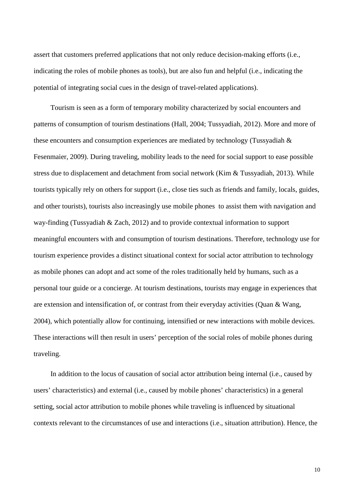assert that customers preferred applications that not only reduce decision-making efforts (i.e., indicating the roles of mobile phones as tools), but are also fun and helpful (i.e., indicating the potential of integrating social cues in the design of travel-related applications).

Tourism is seen as a form of temporary mobility characterized by social encounters and patterns of consumption of tourism destinations (Hall, 2004; Tussyadiah, 2012). More and more of these encounters and consumption experiences are mediated by technology (Tussyadiah & Fesenmaier, 2009). During traveling, mobility leads to the need for social support to ease possible stress due to displacement and detachment from social network (Kim & Tussyadiah, 2013). While tourists typically rely on others for support (i.e., close ties such as friends and family, locals, guides, and other tourists), tourists also increasingly use mobile phones to assist them with navigation and way-finding (Tussyadiah & Zach, 2012) and to provide contextual information to support meaningful encounters with and consumption of tourism destinations. Therefore, technology use for tourism experience provides a distinct situational context for social actor attribution to technology as mobile phones can adopt and act some of the roles traditionally held by humans, such as a personal tour guide or a concierge. At tourism destinations, tourists may engage in experiences that are extension and intensification of, or contrast from their everyday activities (Quan & Wang, 2004), which potentially allow for continuing, intensified or new interactions with mobile devices. These interactions will then result in users' perception of the social roles of mobile phones during traveling.

In addition to the locus of causation of social actor attribution being internal (i.e., caused by users' characteristics) and external (i.e., caused by mobile phones' characteristics) in a general setting, social actor attribution to mobile phones while traveling is influenced by situational contexts relevant to the circumstances of use and interactions (i.e., situation attribution). Hence, the

10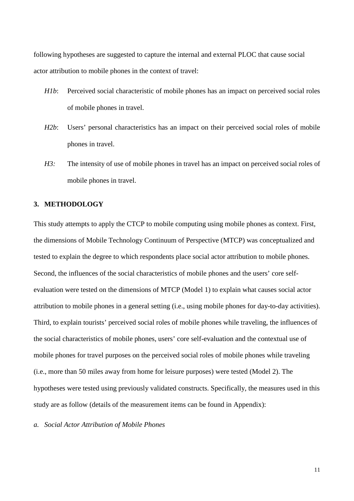following hypotheses are suggested to capture the internal and external PLOC that cause social actor attribution to mobile phones in the context of travel:

- *H1b*: Perceived social characteristic of mobile phones has an impact on perceived social roles of mobile phones in travel.
- *H2b*: Users' personal characteristics has an impact on their perceived social roles of mobile phones in travel.
- *H3*: The intensity of use of mobile phones in travel has an impact on perceived social roles of mobile phones in travel.

### **3. METHODOLOGY**

This study attempts to apply the CTCP to mobile computing using mobile phones as context. First, the dimensions of Mobile Technology Continuum of Perspective (MTCP) was conceptualized and tested to explain the degree to which respondents place social actor attribution to mobile phones. Second, the influences of the social characteristics of mobile phones and the users' core selfevaluation were tested on the dimensions of MTCP (Model 1) to explain what causes social actor attribution to mobile phones in a general setting (i.e., using mobile phones for day-to-day activities). Third, to explain tourists' perceived social roles of mobile phones while traveling, the influences of the social characteristics of mobile phones, users' core self-evaluation and the contextual use of mobile phones for travel purposes on the perceived social roles of mobile phones while traveling (i.e., more than 50 miles away from home for leisure purposes) were tested (Model 2). The hypotheses were tested using previously validated constructs. Specifically, the measures used in this study are as follow (details of the measurement items can be found in Appendix):

*a. Social Actor Attribution of Mobile Phones* 

11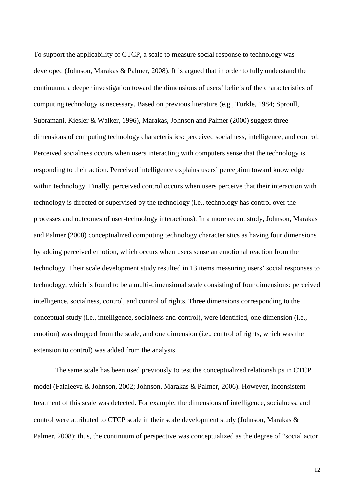To support the applicability of CTCP, a scale to measure social response to technology was developed (Johnson, Marakas & Palmer, 2008). It is argued that in order to fully understand the continuum, a deeper investigation toward the dimensions of users' beliefs of the characteristics of computing technology is necessary. Based on previous literature (e.g., Turkle, 1984; Sproull, Subramani, Kiesler & Walker, 1996), Marakas, Johnson and Palmer (2000) suggest three dimensions of computing technology characteristics: perceived socialness, intelligence, and control. Perceived socialness occurs when users interacting with computers sense that the technology is responding to their action. Perceived intelligence explains users' perception toward knowledge within technology. Finally, perceived control occurs when users perceive that their interaction with technology is directed or supervised by the technology (i.e., technology has control over the processes and outcomes of user-technology interactions). In a more recent study, Johnson, Marakas and Palmer (2008) conceptualized computing technology characteristics as having four dimensions by adding perceived emotion, which occurs when users sense an emotional reaction from the technology. Their scale development study resulted in 13 items measuring users' social responses to technology, which is found to be a multi-dimensional scale consisting of four dimensions: perceived intelligence, socialness, control, and control of rights. Three dimensions corresponding to the conceptual study (i.e., intelligence, socialness and control), were identified, one dimension (i.e., emotion) was dropped from the scale, and one dimension (i.e., control of rights, which was the extension to control) was added from the analysis.

The same scale has been used previously to test the conceptualized relationships in CTCP model (Falaleeva & Johnson, 2002; Johnson, Marakas & Palmer, 2006). However, inconsistent treatment of this scale was detected. For example, the dimensions of intelligence, socialness, and control were attributed to CTCP scale in their scale development study (Johnson, Marakas & Palmer, 2008); thus, the continuum of perspective was conceptualized as the degree of "social actor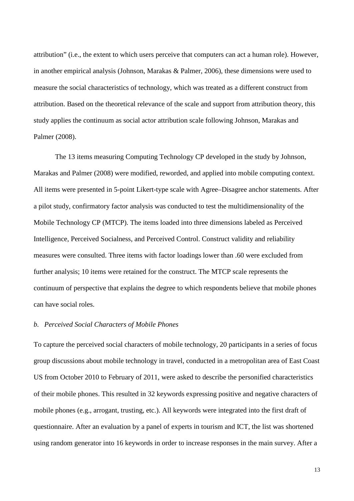attribution" (i.e., the extent to which users perceive that computers can act a human role). However, in another empirical analysis (Johnson, Marakas & Palmer, 2006), these dimensions were used to measure the social characteristics of technology, which was treated as a different construct from attribution. Based on the theoretical relevance of the scale and support from attribution theory, this study applies the continuum as social actor attribution scale following Johnson, Marakas and Palmer (2008).

The 13 items measuring Computing Technology CP developed in the study by Johnson, Marakas and Palmer (2008) were modified, reworded, and applied into mobile computing context. All items were presented in 5-point Likert-type scale with Agree–Disagree anchor statements. After a pilot study, confirmatory factor analysis was conducted to test the multidimensionality of the Mobile Technology CP (MTCP). The items loaded into three dimensions labeled as Perceived Intelligence, Perceived Socialness, and Perceived Control. Construct validity and reliability measures were consulted. Three items with factor loadings lower than .60 were excluded from further analysis; 10 items were retained for the construct. The MTCP scale represents the continuum of perspective that explains the degree to which respondents believe that mobile phones can have social roles.

### *b. Perceived Social Characters of Mobile Phones*

To capture the perceived social characters of mobile technology, 20 participants in a series of focus group discussions about mobile technology in travel, conducted in a metropolitan area of East Coast US from October 2010 to February of 2011, were asked to describe the personified characteristics of their mobile phones. This resulted in 32 keywords expressing positive and negative characters of mobile phones (e.g., arrogant, trusting, etc.). All keywords were integrated into the first draft of questionnaire. After an evaluation by a panel of experts in tourism and ICT, the list was shortened using random generator into 16 keywords in order to increase responses in the main survey. After a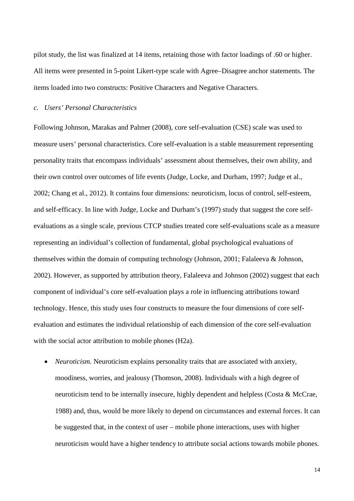pilot study, the list was finalized at 14 items, retaining those with factor loadings of .60 or higher. All items were presented in 5-point Likert-type scale with Agree–Disagree anchor statements. The items loaded into two constructs: Positive Characters and Negative Characters.

## *c. Users' Personal Characteristics*

Following Johnson, Marakas and Palmer (2008), core self-evaluation (CSE) scale was used to measure users' personal characteristics. Core self-evaluation is a stable measurement representing personality traits that encompass individuals' assessment about themselves, their own ability, and their own control over outcomes of life events (Judge, Locke, and Durham, 1997; Judge et al., 2002; Chang et al., 2012). It contains four dimensions: neuroticism, locus of control, self-esteem, and self-efficacy. In line with Judge, Locke and Durham's (1997) study that suggest the core selfevaluations as a single scale, previous CTCP studies treated core self-evaluations scale as a measure representing an individual's collection of fundamental, global psychological evaluations of themselves within the domain of computing technology (Johnson, 2001; Falaleeva & Johnson, 2002). However, as supported by attribution theory, Falaleeva and Johnson (2002) suggest that each component of individual's core self-evaluation plays a role in influencing attributions toward technology. Hence, this study uses four constructs to measure the four dimensions of core selfevaluation and estimates the individual relationship of each dimension of the core self-evaluation with the social actor attribution to mobile phones (H2a).

• *Neuroticism.* Neuroticism explains personality traits that are associated with anxiety, moodiness, worries, and jealousy (Thomson, 2008). Individuals with a high degree of neuroticism tend to be internally insecure, highly dependent and helpless (Costa & McCrae, 1988) and, thus, would be more likely to depend on circumstances and external forces. It can be suggested that, in the context of user – mobile phone interactions, uses with higher neuroticism would have a higher tendency to attribute social actions towards mobile phones.

14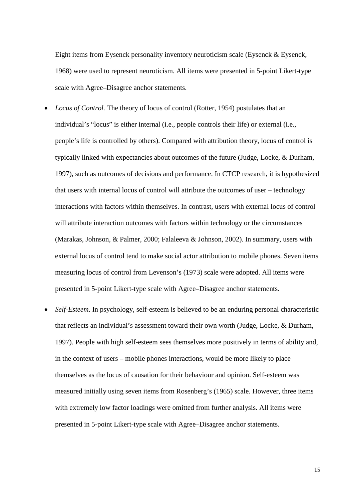Eight items from Eysenck personality inventory neuroticism scale (Eysenck & Eysenck, 1968) were used to represent neuroticism. All items were presented in 5-point Likert-type scale with Agree–Disagree anchor statements.

- *Locus of Control.* The theory of locus of control (Rotter, 1954) postulates that an individual's "locus" is either internal (i.e., people controls their life) or external (i.e., people's life is controlled by others). Compared with attribution theory, locus of control is typically linked with expectancies about outcomes of the future (Judge, Locke, & Durham, 1997), such as outcomes of decisions and performance. In CTCP research, it is hypothesized that users with internal locus of control will attribute the outcomes of user – technology interactions with factors within themselves. In contrast, users with external locus of control will attribute interaction outcomes with factors within technology or the circumstances (Marakas, Johnson, & Palmer, 2000; Falaleeva & Johnson, 2002). In summary, users with external locus of control tend to make social actor attribution to mobile phones. Seven items measuring locus of control from Levenson's (1973) scale were adopted. All items were presented in 5-point Likert-type scale with Agree–Disagree anchor statements.
- *Self-Esteem*. In psychology, self-esteem is believed to be an enduring personal characteristic that reflects an individual's assessment toward their own worth (Judge, Locke, & Durham, 1997). People with high self-esteem sees themselves more positively in terms of ability and, in the context of users – mobile phones interactions, would be more likely to place themselves as the locus of causation for their behaviour and opinion. Self-esteem was measured initially using seven items from Rosenberg's (1965) scale. However, three items with extremely low factor loadings were omitted from further analysis. All items were presented in 5-point Likert-type scale with Agree–Disagree anchor statements.

15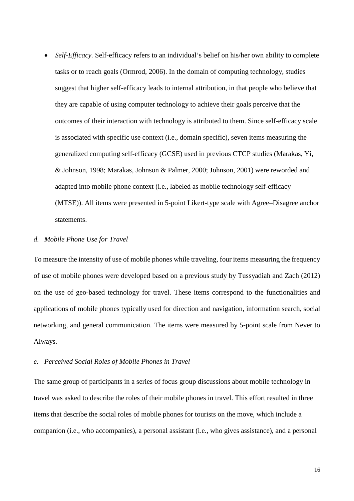• *Self-Efficacy*. Self-efficacy refers to an individual's belief on his/her own ability to complete tasks or to reach goals (Ormrod, 2006). In the domain of computing technology, studies suggest that higher self-efficacy leads to internal attribution, in that people who believe that they are capable of using computer technology to achieve their goals perceive that the outcomes of their interaction with technology is attributed to them. Since self-efficacy scale is associated with specific use context (i.e., domain specific), seven items measuring the generalized computing self-efficacy (GCSE) used in previous CTCP studies (Marakas, Yi, & Johnson, 1998; Marakas, Johnson & Palmer, 2000; Johnson, 2001) were reworded and adapted into mobile phone context (i.e., labeled as mobile technology self-efficacy (MTSE)). All items were presented in 5-point Likert-type scale with Agree–Disagree anchor statements.

### *d. Mobile Phone Use for Travel*

To measure the intensity of use of mobile phones while traveling, four items measuring the frequency of use of mobile phones were developed based on a previous study by Tussyadiah and Zach (2012) on the use of geo-based technology for travel. These items correspond to the functionalities and applications of mobile phones typically used for direction and navigation, information search, social networking, and general communication. The items were measured by 5-point scale from Never to Always.

## *e. Perceived Social Roles of Mobile Phones in Travel*

The same group of participants in a series of focus group discussions about mobile technology in travel was asked to describe the roles of their mobile phones in travel. This effort resulted in three items that describe the social roles of mobile phones for tourists on the move, which include a companion (i.e., who accompanies), a personal assistant (i.e., who gives assistance), and a personal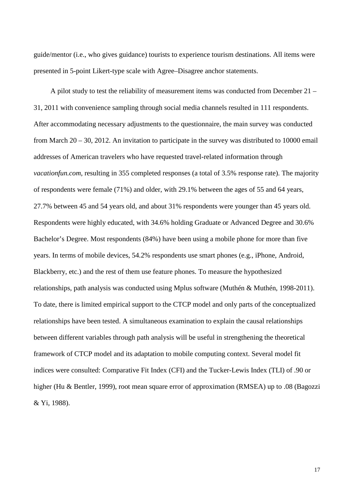guide/mentor (i.e., who gives guidance) tourists to experience tourism destinations. All items were presented in 5-point Likert-type scale with Agree–Disagree anchor statements.

A pilot study to test the reliability of measurement items was conducted from December 21 – 31, 2011 with convenience sampling through social media channels resulted in 111 respondents. After accommodating necessary adjustments to the questionnaire, the main survey was conducted from March 20 – 30, 2012. An invitation to participate in the survey was distributed to 10000 email addresses of American travelers who have requested travel-related information through *vacationfun.com*, resulting in 355 completed responses (a total of 3.5% response rate). The majority of respondents were female (71%) and older, with 29.1% between the ages of 55 and 64 years, 27.7% between 45 and 54 years old, and about 31% respondents were younger than 45 years old. Respondents were highly educated, with 34.6% holding Graduate or Advanced Degree and 30.6% Bachelor's Degree. Most respondents (84%) have been using a mobile phone for more than five years. In terms of mobile devices, 54.2% respondents use smart phones (e.g., iPhone, Android, Blackberry, etc.) and the rest of them use feature phones. To measure the hypothesized relationships, path analysis was conducted using Mplus software (Muthén & Muthén, 1998-2011). To date, there is limited empirical support to the CTCP model and only parts of the conceptualized relationships have been tested. A simultaneous examination to explain the causal relationships between different variables through path analysis will be useful in strengthening the theoretical framework of CTCP model and its adaptation to mobile computing context. Several model fit indices were consulted: Comparative Fit Index (CFI) and the Tucker-Lewis Index (TLI) of .90 or higher (Hu & Bentler, 1999), root mean square error of approximation (RMSEA) up to .08 (Bagozzi & Yi, 1988).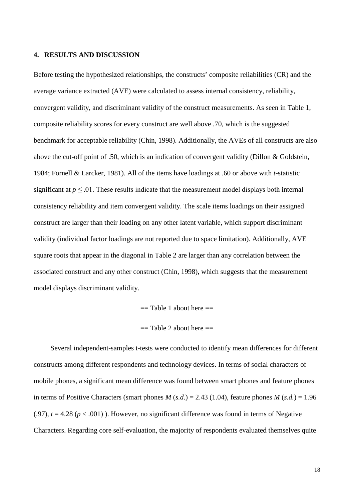#### **4. RESULTS AND DISCUSSION**

Before testing the hypothesized relationships, the constructs' composite reliabilities (CR) and the average variance extracted (AVE) were calculated to assess internal consistency, reliability, convergent validity, and discriminant validity of the construct measurements. As seen in Table 1, composite reliability scores for every construct are well above .70, which is the suggested benchmark for acceptable reliability (Chin, 1998). Additionally, the AVEs of all constructs are also above the cut-off point of .50, which is an indication of convergent validity (Dillon & Goldstein, 1984; Fornell & Larcker, 1981). All of the items have loadings at .60 or above with *t*-statistic significant at  $p \leq 0.01$ . These results indicate that the measurement model displays both internal consistency reliability and item convergent validity. The scale items loadings on their assigned construct are larger than their loading on any other latent variable, which support discriminant validity (individual factor loadings are not reported due to space limitation). Additionally, AVE square roots that appear in the diagonal in Table 2 are larger than any correlation between the associated construct and any other construct (Chin, 1998), which suggests that the measurement model displays discriminant validity.

 $==$  Table 1 about here  $==$ 

 $==$  Table 2 about here  $==$ 

Several independent-samples t-tests were conducted to identify mean differences for different constructs among different respondents and technology devices. In terms of social characters of mobile phones, a significant mean difference was found between smart phones and feature phones in terms of Positive Characters (smart phones  $M(s.d.) = 2.43$  (1.04), feature phones  $M(s.d.) = 1.96$  $(0.97)$ ,  $t = 4.28$  ( $p < 0.001$ ). However, no significant difference was found in terms of Negative Characters. Regarding core self-evaluation, the majority of respondents evaluated themselves quite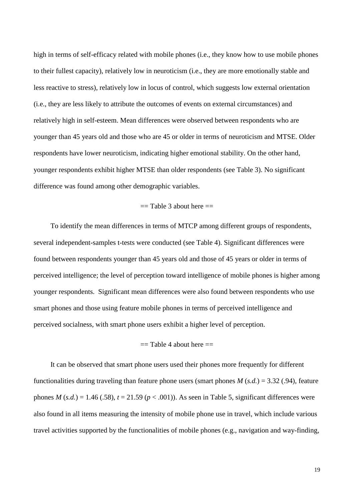high in terms of self-efficacy related with mobile phones (i.e., they know how to use mobile phones to their fullest capacity), relatively low in neuroticism (i.e., they are more emotionally stable and less reactive to stress), relatively low in locus of control, which suggests low external orientation (i.e., they are less likely to attribute the outcomes of events on external circumstances) and relatively high in self-esteem. Mean differences were observed between respondents who are younger than 45 years old and those who are 45 or older in terms of neuroticism and MTSE. Older respondents have lower neuroticism, indicating higher emotional stability. On the other hand, younger respondents exhibit higher MTSE than older respondents (see Table 3). No significant difference was found among other demographic variables.

## $==$  Table 3 about here  $==$

To identify the mean differences in terms of MTCP among different groups of respondents, several independent-samples t-tests were conducted (see Table 4). Significant differences were found between respondents younger than 45 years old and those of 45 years or older in terms of perceived intelligence; the level of perception toward intelligence of mobile phones is higher among younger respondents. Significant mean differences were also found between respondents who use smart phones and those using feature mobile phones in terms of perceived intelligence and perceived socialness, with smart phone users exhibit a higher level of perception.

## $==$  Table 4 about here  $==$

It can be observed that smart phone users used their phones more frequently for different functionalities during traveling than feature phone users (smart phones  $M(s.d.) = 3.32$  (.94), feature phones  $M(s.d.) = 1.46$  (.58),  $t = 21.59$  ( $p < .001$ )). As seen in Table 5, significant differences were also found in all items measuring the intensity of mobile phone use in travel, which include various travel activities supported by the functionalities of mobile phones (e.g., navigation and way-finding,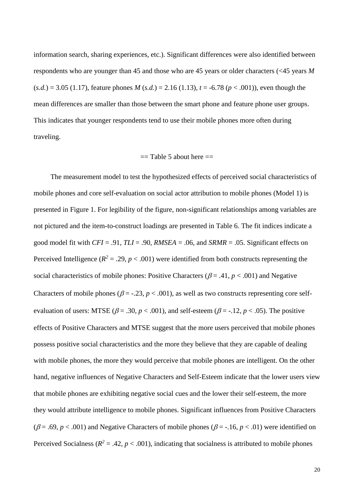information search, sharing experiences, etc.). Significant differences were also identified between respondents who are younger than 45 and those who are 45 years or older characters (<45 years *M*  $(s.d.) = 3.05$  (1.17), feature phones *M* (*s.d.*) = 2.16 (1.13),  $t = -6.78$  ( $p < .001$ )), even though the mean differences are smaller than those between the smart phone and feature phone user groups. This indicates that younger respondents tend to use their mobile phones more often during traveling.

#### $==$  Table 5 about here  $==$

The measurement model to test the hypothesized effects of perceived social characteristics of mobile phones and core self-evaluation on social actor attribution to mobile phones (Model 1) is presented in Figure 1. For legibility of the figure, non-significant relationships among variables are not pictured and the item-to-construct loadings are presented in Table 6. The fit indices indicate a good model fit with *CFI* = .91, *TLI* = .90, *RMSEA* = .06, and *SRMR* = .05. Significant effects on Perceived Intelligence ( $R^2 = .29$ ,  $p < .001$ ) were identified from both constructs representing the social characteristics of mobile phones: Positive Characters ( $\beta$  = .41,  $p$  < .001) and Negative Characters of mobile phones ( $\beta$  = -.23,  $p$  < .001), as well as two constructs representing core selfevaluation of users: MTSE ( $\beta$  = .30,  $p$  < .001), and self-esteem ( $\beta$  = -.12,  $p$  < .05). The positive effects of Positive Characters and MTSE suggest that the more users perceived that mobile phones possess positive social characteristics and the more they believe that they are capable of dealing with mobile phones, the more they would perceive that mobile phones are intelligent. On the other hand, negative influences of Negative Characters and Self-Esteem indicate that the lower users view that mobile phones are exhibiting negative social cues and the lower their self-esteem, the more they would attribute intelligence to mobile phones. Significant influences from Positive Characters ( $\beta$  = .69, *p* < .001) and Negative Characters of mobile phones ( $\beta$  = -.16, *p* < .01) were identified on Perceived Socialness ( $R^2 = .42$ ,  $p < .001$ ), indicating that socialness is attributed to mobile phones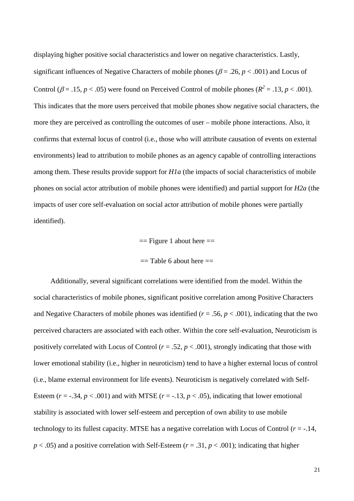displaying higher positive social characteristics and lower on negative characteristics. Lastly, significant influences of Negative Characters of mobile phones ( $\beta$  = .26, *p* < .001) and Locus of Control ( $\beta$  = .15, *p* < .05) were found on Perceived Control of mobile phones ( $R^2$  = .13, *p* < .001). This indicates that the more users perceived that mobile phones show negative social characters, the more they are perceived as controlling the outcomes of user – mobile phone interactions. Also, it confirms that external locus of control (i.e., those who will attribute causation of events on external environments) lead to attribution to mobile phones as an agency capable of controlling interactions among them. These results provide support for *H1a* (the impacts of social characteristics of mobile phones on social actor attribution of mobile phones were identified) and partial support for *H2a* (the impacts of user core self-evaluation on social actor attribution of mobile phones were partially identified).

#### $==$  Figure 1 about here  $==$

#### $==$  Table 6 about here  $==$

Additionally, several significant correlations were identified from the model. Within the social characteristics of mobile phones, significant positive correlation among Positive Characters and Negative Characters of mobile phones was identified  $(r = .56, p < .001)$ , indicating that the two perceived characters are associated with each other. Within the core self-evaluation, Neuroticism is positively correlated with Locus of Control ( $r = .52$ ,  $p < .001$ ), strongly indicating that those with lower emotional stability (i.e., higher in neuroticism) tend to have a higher external locus of control (i.e., blame external environment for life events). Neuroticism is negatively correlated with Self-Esteem ( $r = -0.34$ ,  $p < 0.001$ ) and with MTSE ( $r = -0.13$ ,  $p < 0.05$ ), indicating that lower emotional stability is associated with lower self-esteem and perception of own ability to use mobile technology to its fullest capacity. MTSE has a negative correlation with Locus of Control  $(r = -14, r = 14)$  $p < .05$ ) and a positive correlation with Self-Esteem ( $r = .31$ ,  $p < .001$ ); indicating that higher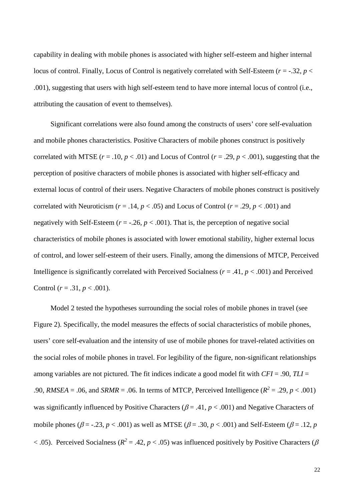capability in dealing with mobile phones is associated with higher self-esteem and higher internal locus of control. Finally, Locus of Control is negatively correlated with Self-Esteem (*r* = -.32, *p* < .001), suggesting that users with high self-esteem tend to have more internal locus of control (i.e., attributing the causation of event to themselves).

Significant correlations were also found among the constructs of users' core self-evaluation and mobile phones characteristics. Positive Characters of mobile phones construct is positively correlated with MTSE  $(r = .10, p < .01)$  and Locus of Control  $(r = .29, p < .001)$ , suggesting that the perception of positive characters of mobile phones is associated with higher self-efficacy and external locus of control of their users. Negative Characters of mobile phones construct is positively correlated with Neuroticism ( $r = .14$ ,  $p < .05$ ) and Locus of Control ( $r = .29$ ,  $p < .001$ ) and negatively with Self-Esteem ( $r = -0.26$ ,  $p < 0.001$ ). That is, the perception of negative social characteristics of mobile phones is associated with lower emotional stability, higher external locus of control, and lower self-esteem of their users. Finally, among the dimensions of MTCP, Perceived Intelligence is significantly correlated with Perceived Socialness ( $r = .41$ ,  $p < .001$ ) and Perceived Control  $(r = .31, p < .001)$ .

Model 2 tested the hypotheses surrounding the social roles of mobile phones in travel (see Figure 2). Specifically, the model measures the effects of social characteristics of mobile phones, users' core self-evaluation and the intensity of use of mobile phones for travel-related activities on the social roles of mobile phones in travel. For legibility of the figure, non-significant relationships among variables are not pictured. The fit indices indicate a good model fit with *CFI* = .90, *TLI* = .90, *RMSEA* = .06, and *SRMR* = .06. In terms of MTCP, Perceived Intelligence ( $R^2$  = .29, *p* < .001) was significantly influenced by Positive Characters ( $\beta$  = .41,  $p$  < .001) and Negative Characters of mobile phones ( $\beta$  = -.23,  $p < .001$ ) as well as MTSE ( $\beta$  = .30,  $p < .001$ ) and Self-Esteem ( $\beta$  = .12,  $p$  $<$  .05). Perceived Socialness ( $R^2$  = .42,  $p$  < .05) was influenced positively by Positive Characters ( $\beta$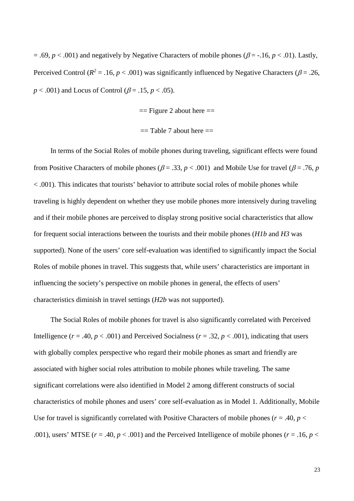$= .69, p < .001$ ) and negatively by Negative Characters of mobile phones ( $\beta = -.16, p < .01$ ). Lastly, Perceived Control ( $R^2 = .16$ ,  $p < .001$ ) was significantly influenced by Negative Characters ( $\beta = .26$ , *p* < .001) and Locus of Control ( $\beta$  = .15, *p* < .05).

 $==$  Figure 2 about here  $==$ 

 $==$  Table 7 about here  $==$ 

In terms of the Social Roles of mobile phones during traveling, significant effects were found from Positive Characters of mobile phones ( $\beta = .33$ ,  $p < .001$ ) and Mobile Use for travel ( $\beta = .76$ , *p* < .001). This indicates that tourists' behavior to attribute social roles of mobile phones while traveling is highly dependent on whether they use mobile phones more intensively during traveling and if their mobile phones are perceived to display strong positive social characteristics that allow for frequent social interactions between the tourists and their mobile phones (*H1b* and *H3* was supported). None of the users' core self-evaluation was identified to significantly impact the Social Roles of mobile phones in travel. This suggests that, while users' characteristics are important in influencing the society's perspective on mobile phones in general, the effects of users' characteristics diminish in travel settings (*H2b* was not supported).

The Social Roles of mobile phones for travel is also significantly correlated with Perceived Intelligence ( $r = .40$ ,  $p < .001$ ) and Perceived Socialness ( $r = .32$ ,  $p < .001$ ), indicating that users with globally complex perspective who regard their mobile phones as smart and friendly are associated with higher social roles attribution to mobile phones while traveling. The same significant correlations were also identified in Model 2 among different constructs of social characteristics of mobile phones and users' core self-evaluation as in Model 1. Additionally, Mobile Use for travel is significantly correlated with Positive Characters of mobile phones ( $r = .40$ ,  $p <$ .001), users' MTSE ( $r = .40$ ,  $p < .001$ ) and the Perceived Intelligence of mobile phones ( $r = .16$ ,  $p <$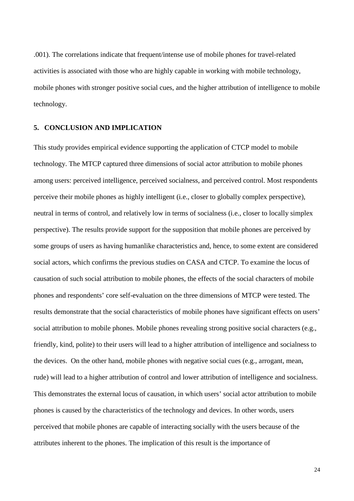.001). The correlations indicate that frequent/intense use of mobile phones for travel-related activities is associated with those who are highly capable in working with mobile technology, mobile phones with stronger positive social cues, and the higher attribution of intelligence to mobile technology.

### **5. CONCLUSION AND IMPLICATION**

This study provides empirical evidence supporting the application of CTCP model to mobile technology. The MTCP captured three dimensions of social actor attribution to mobile phones among users: perceived intelligence, perceived socialness, and perceived control. Most respondents perceive their mobile phones as highly intelligent (i.e., closer to globally complex perspective), neutral in terms of control, and relatively low in terms of socialness (i.e., closer to locally simplex perspective). The results provide support for the supposition that mobile phones are perceived by some groups of users as having humanlike characteristics and, hence, to some extent are considered social actors, which confirms the previous studies on CASA and CTCP. To examine the locus of causation of such social attribution to mobile phones, the effects of the social characters of mobile phones and respondents' core self-evaluation on the three dimensions of MTCP were tested. The results demonstrate that the social characteristics of mobile phones have significant effects on users' social attribution to mobile phones. Mobile phones revealing strong positive social characters (e.g., friendly, kind, polite) to their users will lead to a higher attribution of intelligence and socialness to the devices. On the other hand, mobile phones with negative social cues (e.g., arrogant, mean, rude) will lead to a higher attribution of control and lower attribution of intelligence and socialness. This demonstrates the external locus of causation, in which users' social actor attribution to mobile phones is caused by the characteristics of the technology and devices. In other words, users perceived that mobile phones are capable of interacting socially with the users because of the attributes inherent to the phones. The implication of this result is the importance of

24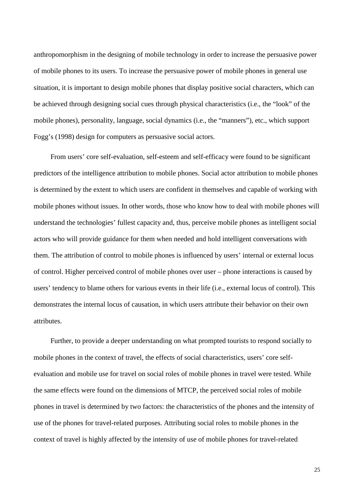anthropomorphism in the designing of mobile technology in order to increase the persuasive power of mobile phones to its users. To increase the persuasive power of mobile phones in general use situation, it is important to design mobile phones that display positive social characters, which can be achieved through designing social cues through physical characteristics (i.e., the "look" of the mobile phones), personality, language, social dynamics (i.e., the "manners"), etc., which support Fogg's (1998) design for computers as persuasive social actors.

From users' core self-evaluation, self-esteem and self-efficacy were found to be significant predictors of the intelligence attribution to mobile phones. Social actor attribution to mobile phones is determined by the extent to which users are confident in themselves and capable of working with mobile phones without issues. In other words, those who know how to deal with mobile phones will understand the technologies' fullest capacity and, thus, perceive mobile phones as intelligent social actors who will provide guidance for them when needed and hold intelligent conversations with them. The attribution of control to mobile phones is influenced by users' internal or external locus of control. Higher perceived control of mobile phones over user – phone interactions is caused by users' tendency to blame others for various events in their life (i.e., external locus of control). This demonstrates the internal locus of causation, in which users attribute their behavior on their own attributes.

Further, to provide a deeper understanding on what prompted tourists to respond socially to mobile phones in the context of travel, the effects of social characteristics, users' core selfevaluation and mobile use for travel on social roles of mobile phones in travel were tested. While the same effects were found on the dimensions of MTCP, the perceived social roles of mobile phones in travel is determined by two factors: the characteristics of the phones and the intensity of use of the phones for travel-related purposes. Attributing social roles to mobile phones in the context of travel is highly affected by the intensity of use of mobile phones for travel-related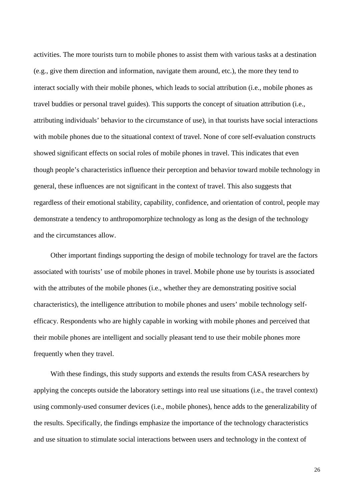activities. The more tourists turn to mobile phones to assist them with various tasks at a destination (e.g., give them direction and information, navigate them around, etc.), the more they tend to interact socially with their mobile phones, which leads to social attribution (i.e., mobile phones as travel buddies or personal travel guides). This supports the concept of situation attribution (i.e., attributing individuals' behavior to the circumstance of use), in that tourists have social interactions with mobile phones due to the situational context of travel. None of core self-evaluation constructs showed significant effects on social roles of mobile phones in travel. This indicates that even though people's characteristics influence their perception and behavior toward mobile technology in general, these influences are not significant in the context of travel. This also suggests that regardless of their emotional stability, capability, confidence, and orientation of control, people may demonstrate a tendency to anthropomorphize technology as long as the design of the technology and the circumstances allow.

Other important findings supporting the design of mobile technology for travel are the factors associated with tourists' use of mobile phones in travel. Mobile phone use by tourists is associated with the attributes of the mobile phones (i.e., whether they are demonstrating positive social characteristics), the intelligence attribution to mobile phones and users' mobile technology selfefficacy. Respondents who are highly capable in working with mobile phones and perceived that their mobile phones are intelligent and socially pleasant tend to use their mobile phones more frequently when they travel.

With these findings, this study supports and extends the results from CASA researchers by applying the concepts outside the laboratory settings into real use situations (i.e., the travel context) using commonly-used consumer devices (i.e., mobile phones), hence adds to the generalizability of the results. Specifically, the findings emphasize the importance of the technology characteristics and use situation to stimulate social interactions between users and technology in the context of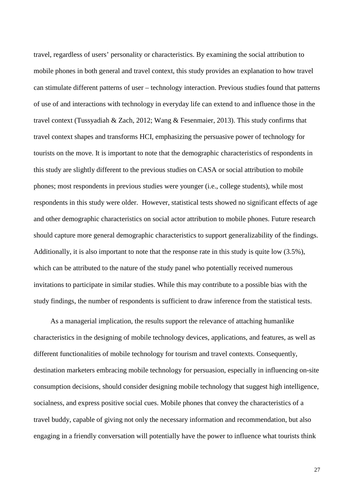travel, regardless of users' personality or characteristics. By examining the social attribution to mobile phones in both general and travel context, this study provides an explanation to how travel can stimulate different patterns of user – technology interaction. Previous studies found that patterns of use of and interactions with technology in everyday life can extend to and influence those in the travel context (Tussyadiah & Zach, 2012; Wang & Fesenmaier, 2013). This study confirms that travel context shapes and transforms HCI, emphasizing the persuasive power of technology for tourists on the move. It is important to note that the demographic characteristics of respondents in this study are slightly different to the previous studies on CASA or social attribution to mobile phones; most respondents in previous studies were younger (i.e., college students), while most respondents in this study were older. However, statistical tests showed no significant effects of age and other demographic characteristics on social actor attribution to mobile phones. Future research should capture more general demographic characteristics to support generalizability of the findings. Additionally, it is also important to note that the response rate in this study is quite low (3.5%), which can be attributed to the nature of the study panel who potentially received numerous invitations to participate in similar studies. While this may contribute to a possible bias with the study findings, the number of respondents is sufficient to draw inference from the statistical tests.

As a managerial implication, the results support the relevance of attaching humanlike characteristics in the designing of mobile technology devices, applications, and features, as well as different functionalities of mobile technology for tourism and travel contexts. Consequently, destination marketers embracing mobile technology for persuasion, especially in influencing on-site consumption decisions, should consider designing mobile technology that suggest high intelligence, socialness, and express positive social cues. Mobile phones that convey the characteristics of a travel buddy, capable of giving not only the necessary information and recommendation, but also engaging in a friendly conversation will potentially have the power to influence what tourists think

27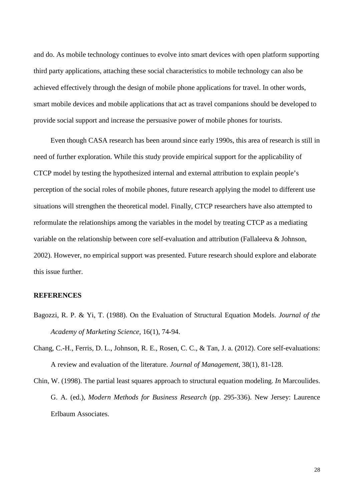and do. As mobile technology continues to evolve into smart devices with open platform supporting third party applications, attaching these social characteristics to mobile technology can also be achieved effectively through the design of mobile phone applications for travel. In other words, smart mobile devices and mobile applications that act as travel companions should be developed to provide social support and increase the persuasive power of mobile phones for tourists.

Even though CASA research has been around since early 1990s, this area of research is still in need of further exploration. While this study provide empirical support for the applicability of CTCP model by testing the hypothesized internal and external attribution to explain people's perception of the social roles of mobile phones, future research applying the model to different use situations will strengthen the theoretical model. Finally, CTCP researchers have also attempted to reformulate the relationships among the variables in the model by treating CTCP as a mediating variable on the relationship between core self-evaluation and attribution (Fallaleeva & Johnson, 2002). However, no empirical support was presented. Future research should explore and elaborate this issue further.

### **REFERENCES**

- Bagozzi, R. P. & Yi, T. (1988). On the Evaluation of Structural Equation Models. *Journal of the Academy of Marketing Science,* 16(1), 74-94.
- Chang, C.-H., Ferris, D. L., Johnson, R. E., Rosen, C. C., & Tan, J. a. (2012). Core self-evaluations: A review and evaluation of the literature. *Journal of Management*, 38(1), 81-128.

Chin, W. (1998). The partial least squares approach to structural equation modeling. *In* Marcoulides. G. A. (ed.), *Modern Methods for Business Research* (pp. 295-336). New Jersey: Laurence Erlbaum Associates.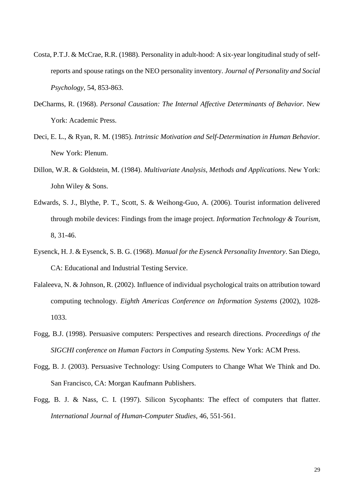- Costa, P.T.J. & McCrae, R.R. (1988). Personality in adult-hood: A six-year longitudinal study of selfreports and spouse ratings on the NEO personality inventory. *Journal of Personality and Social Psychology*, 54, 853-863.
- DeCharms, R. (1968). *Personal Causation: The Internal Affective Determinants of Behavior.* New York: Academic Press.
- Deci, E. L., & Ryan, R. M. (1985). *Intrinsic Motivation and Self-Determination in Human Behavior.* New York: Plenum.
- Dillon, W.R. & Goldstein, M. (1984). *Multivariate Analysis, Methods and Applications*. New York: John Wiley & Sons.
- Edwards, S. J., Blythe, P. T., Scott, S. & Weihong-Guo, A. (2006). Tourist information delivered through mobile devices: Findings from the image project. *Information Technology & Tourism,* 8, 31-46.
- Eysenck, H. J. & Eysenck, S. B. G. (1968). *Manual for the Eysenck Personality Inventory*. San Diego, CA: Educational and Industrial Testing Service.
- Falaleeva, N. & Johnson, R. (2002). Influence of individual psychological traits on attribution toward computing technology. *Eighth Americas Conference on Information Systems* (2002), 1028- 1033.
- Fogg, B.J. (1998). Persuasive computers: Perspectives and research directions. *Proceedings of the SIGCHI conference on Human Factors in Computing Systems.* New York: ACM Press.
- Fogg, B. J. (2003). Persuasive Technology: Using Computers to Change What We Think and Do. San Francisco, CA: Morgan Kaufmann Publishers.
- Fogg, B. J. & Nass, C. I. (1997). Silicon Sycophants: The effect of computers that flatter. *International Journal of Human-Computer Studies*, 46, 551-561.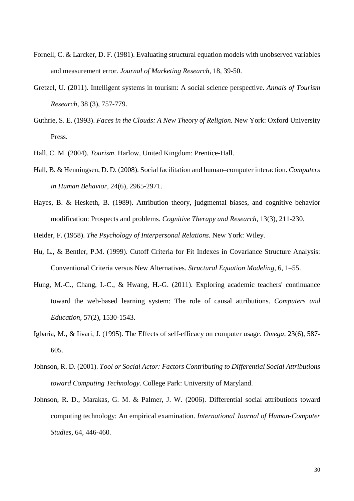- Fornell, C. & Larcker, D. F. (1981). Evaluating structural equation models with unobserved variables and measurement error. *Journal of Marketing Research,* 18, 39-50.
- Gretzel, U. (2011). Intelligent systems in tourism: A social science perspective. *Annals of Tourism Research,* 38 (3), 757-779.
- Guthrie, S. E. (1993). *Faces in the Clouds: A New Theory of Religion.* New York: Oxford University Press.
- Hall, C. M. (2004). *Tourism*. Harlow, United Kingdom: Prentice-Hall.
- Hall, B. & Henningsen, D. D. (2008). Social facilitation and human–computer interaction. *Computers in Human Behavior,* 24(6), 2965-2971.
- Hayes, B. & Hesketh, B. (1989). Attribution theory, judgmental biases, and cognitive behavior modification: Prospects and problems. *Cognitive Therapy and Research,* 1[3\(3\),](http://link.springer.com/journal/10608/13/3/page/1) 211-230.

Heider, F. (1958). *The Psychology of Interpersonal Relations.* New York: Wiley.

- Hu, L., & Bentler, P.M. (1999). Cutoff Criteria for Fit Indexes in Covariance Structure Analysis: Conventional Criteria versus New Alternatives. *Structural Equation Modeling,* 6, 1–55.
- Hung, M.-C., Chang, I.-C., & Hwang, H.-G. (2011). Exploring academic teachers' continuance toward the web-based learning system: The role of causal attributions. *Computers and Education,* 57(2), 1530-1543.
- Igbaria, M., & Iivari, J. (1995). The Effects of self-efficacy on computer usage. *Omega,* 23(6), 587- 605.
- Johnson, R. D. (2001). *Tool or Social Actor: Factors Contributing to Differential Social Attributions toward Computing Technology*. College Park: University of Maryland.
- Johnson, R. D., Marakas, G. M. & Palmer, J. W. (2006). Differential social attributions toward computing technology: An empirical examination. *International Journal of Human-Computer Studies,* 64, 446-460.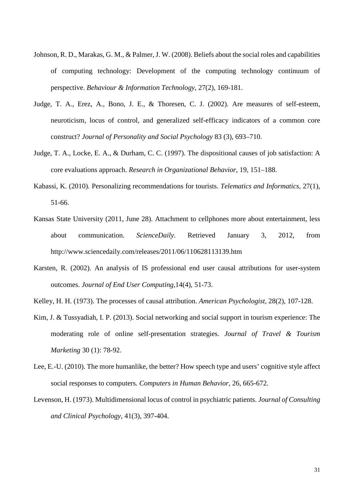- Johnson, R. D., Marakas, G. M., & Palmer, J. W. (2008). Beliefs about the social roles and capabilities of computing technology: Development of the computing technology continuum of perspective. *Behaviour & Information Technology*, 27(2), 169-181.
- Judge, T. A., Erez, A., Bono, J. E., & Thoresen, C. J. (2002). Are measures of self-esteem, neuroticism, locus of control, and generalized self-efficacy indicators of a common core construct? *Journal of Personality and Social Psychology* 83 (3), 693–710.
- Judge, T. A., Locke, E. A., & Durham, C. C. (1997). The dispositional causes of job satisfaction: A core evaluations approach. *Research in Organizational Behavior,* 19, 151–188.
- Kabassi, K. (2010). Personalizing recommendations for tourists. *Telematics and Informatics,* 27(1), 51-66.
- Kansas State University (2011, June 28). Attachment to cellphones more about entertainment, less about communication. *ScienceDaily*. Retrieved January 3, 2012, from http://www.sciencedaily.com/releases/2011/06/110628113139.htm
- Karsten, R. (2002). An analysis of IS professional end user causal attributions for user-system outcomes. *Journal of End User Computing*,14(4), 51-73.
- Kelley, H. H. (1973). The processes of causal attribution. *American Psychologist*, 28(2), 107-128.
- Kim, J. & Tussyadiah, I. P. (2013). Social networking and social support in tourism experience: The moderating role of online self-presentation strategies. *Journal of Travel & Tourism Marketing* 30 (1): 78-92.
- Lee, E.-U. (2010). The more humanlike, the better? How speech type and users' cognitive style affect social responses to computers. *Computers in Human Behavior,* 26, 665-672.
- Levenson, H. (1973). Multidimensional locus of control in psychiatric patients. *Journal of Consulting and Clinical Psychology*, 41(3), 397-404.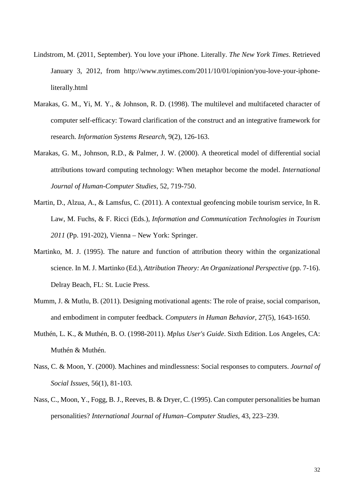- Lindstrom, M. (2011, September). You love your iPhone. Literally. *The New York Times*. Retrieved January 3, 2012, from [http://www.nytimes.com/2011/10/01/opinion/you-love-your-iphone](http://www.nytimes.com/2011/10/01/opinion/you-love-your-iphone-literally.html)[literally.html](http://www.nytimes.com/2011/10/01/opinion/you-love-your-iphone-literally.html)
- Marakas, G. M., Yi, M. Y., & Johnson, R. D. (1998). The multilevel and multifaceted character of computer self-efficacy: Toward clarification of the construct and an integrative framework for research. *Information Systems Research*, 9(2), 126-163.
- Marakas, G. M., Johnson, R.D., & Palmer, J. W. (2000). A theoretical model of differential social attributions toward computing technology: When metaphor become the model. *International Journal of Human-Computer Studies,* 52, 719-750.
- Martin, D., Alzua, A., & Lamsfus, C. (2011). A contextual geofencing mobile tourism service, In R. Law, M. Fuchs, & F. Ricci (Eds.), *Information and Communication Technologies in Tourism 2011* (Pp. 191-202), Vienna – New York: Springer.
- Martinko, M. J. (1995). The nature and function of attribution theory within the organizational science. In M. J. Martinko (Ed.), *Attribution Theory: An Organizational Perspective* (pp. 7-16). Delray Beach, FL: St. Lucie Press.
- Mumm, J. & Mutlu, B. (2011). Designing motivational agents: The role of praise, social comparison, and embodiment in computer feedback. *Computers in Human Behavior*, 27(5), 1643-1650.
- Muthén, L. K., & Muthén, B. O. (1998-2011). *Mplus User's Guide*. Sixth Edition. Los Angeles, CA: Muthén & Muthén.
- Nass, C. & Moon, Y. (2000). Machines and mindlessness: Social responses to computers. *Journal of Social Issues*, 56(1), 81-103.
- Nass, C., Moon, Y., Fogg, B. J., Reeves, B. & Dryer, C. (1995). Can computer personalities be human personalities? *International Journal of Human–Computer Studies*, 43, 223–239.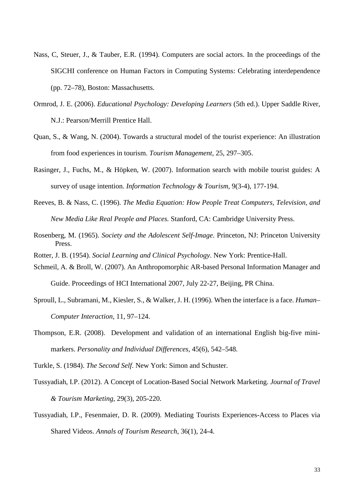- Nass, C, Steuer, J., & Tauber, E.R. (1994). Computers are social actors. In the proceedings of the SIGCHI conference on Human Factors in Computing Systems: Celebrating interdependence (pp. 72–78), Boston: Massachusetts.
- Ormrod, J. E. (2006). *Educational Psychology: Developing Learners* (5th ed.). Upper Saddle River, N.J.: Pearson/Merrill Prentice Hall.
- Quan, S., & Wang, N. (2004). Towards a structural model of the tourist experience: An illustration from food experiences in tourism. *Tourism Management,* 25, 297–305.
- Rasinger, J., Fuchs, M., & Höpken, W. (2007). Information search with mobile tourist guides: A survey of usage intention. *Information Technology & Tourism,* 9(3-4), 177-194.
- Reeves, B. & Nass, C. (1996). *The Media Equation: How People Treat Computers, Television, and New Media Like Real People and Places.* Stanford, CA: Cambridge University Press.
- Rosenberg, M. (1965). *Society and the Adolescent Self-Image*. Princeton, NJ: Princeton University Press.
- Rotter, J. B. (1954). *Social Learning and Clinical Psychology*. New York: Prentice-Hall.
- Schmeil, A. & Broll, W. (2007). An Anthropomorphic AR-based Personal Information Manager and Guide. Proceedings of HCI International 2007, July 22-27, Beijing, PR China.
- Sproull, L., Subramani, M., Kiesler, S., & Walker, J. H. (1996). When the interface is a face. *Human– Computer Interaction*, 11, 97–124.
- Thompson, E.R. (2008). Development and validation of an international English big-five minimarkers. *Personality and Individual Differences*, 45(6), 542–548.

Turkle, S. (1984). *The Second Self*. New York: Simon and Schuster.

- Tussyadiah, I.P. (2012). A Concept of Location-Based Social Network Marketing. *Journal of Travel & Tourism Marketing,* 29(3), 205-220.
- Tussyadiah, I.P., Fesenmaier, D. R. (2009). Mediating Tourists Experiences-Access to Places via Shared Videos. *Annals of Tourism Research,* 36(1), 24-4.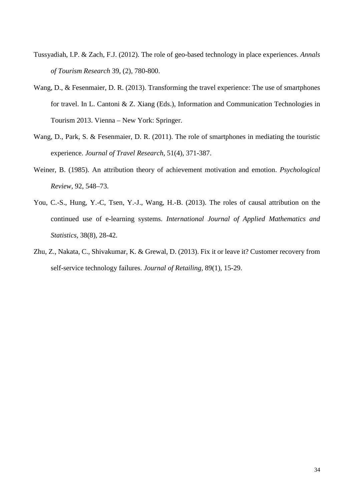- Tussyadiah, I.P. & Zach, F.J. (2012). The role of geo-based technology in place experiences. *Annals of Tourism Research* 39, (2), 780-800.
- Wang, D., & Fesenmaier, D. R. (2013). Transforming the travel experience: The use of smartphones for travel. In L. Cantoni & Z. Xiang (Eds.), Information and Communication Technologies in Tourism 2013. Vienna – New York: Springer.
- Wang, D., Park, S. & Fesenmaier, D. R. (2011). The role of smartphones in mediating the touristic experience. *Journal of Travel Research,* 51(4), 371-387.
- Weiner, B. (1985). An attribution theory of achievement motivation and emotion. *Psychological Review,* 92, 548–73.
- You, C.-S., Hung, Y.-C, Tsen, Y.-J., Wang, H.-B. (2013). The roles of causal attribution on the continued use of e-learning systems. *International Journal of Applied Mathematics and Statistics,* 38(8), 28-42.
- Zhu, Z., Nakata, C., Shivakumar, K. & Grewal, D. (2013). Fix it or leave it? Customer recovery from self-service technology failures. *Journal of Retailing,* 89(1), 15-29.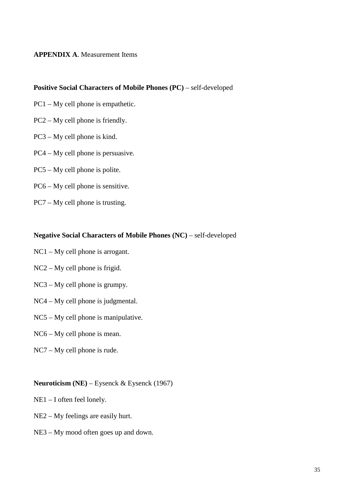## **APPENDIX A**. Measurement Items

### **Positive Social Characters of Mobile Phones (PC)** – self-developed

- PC1 My cell phone is empathetic.
- PC2 My cell phone is friendly.
- PC3 My cell phone is kind.
- PC4 My cell phone is persuasive.
- PC5 My cell phone is polite.
- PC6 My cell phone is sensitive.
- PC7 My cell phone is trusting.

#### **Negative Social Characters of Mobile Phones (NC)** – self-developed

- NC1 My cell phone is arrogant.
- NC2 My cell phone is frigid.
- NC3 My cell phone is grumpy.
- NC4 My cell phone is judgmental.
- NC5 My cell phone is manipulative.
- NC6 My cell phone is mean.
- NC7 My cell phone is rude.

## **Neuroticism (NE)** – Eysenck & Eysenck (1967)

- NE1 I often feel lonely.
- NE2 My feelings are easily hurt.
- NE3 My mood often goes up and down.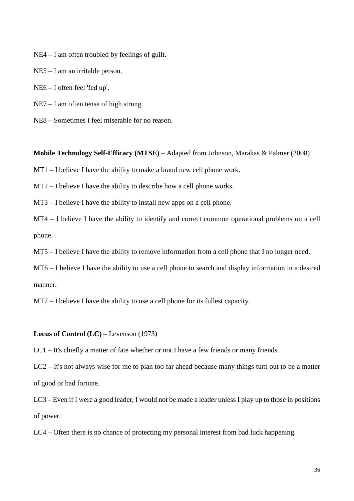NE4 – I am often troubled by feelings of guilt.

NE5 – I am an irritable person.

NE6 – I often feel 'fed up'.

NE7 – I am often tense of high strung.

NE8 – Sometimes I feel miserable for no reason.

**Mobile Technology Self-Efficacy (MTSE)** – Adapted from Johnson, Marakas & Palmer (2008)

MT1 – I believe I have the ability to make a brand new cell phone work.

MT2 – I believe I have the ability to describe how a cell phone works.

MT3 – I believe I have the ability to install new apps on a cell phone.

MT4 – I believe I have the ability to identify and correct common operational problems on a cell phone.

MT5 – I believe I have the ability to remove information from a cell phone that I no longer need.

MT6 – I believe I have the ability to use a cell phone to search and display information in a desired manner.

MT7 – I believe I have the ability to use a cell phone for its fullest capacity.

**Locus of Control (LC)** – Levenson (1973)

LC1 – It's chiefly a matter of fate whether or not I have a few friends or many friends.

LC2 – It's not always wise for me to plan too far ahead because many things turn out to be a matter of good or bad fortune.

LC3 – Even if I were a good leader, I would not be made a leader unless I play up to those in positions of power.

LC4 – Often there is no chance of protecting my personal interest from bad luck happening.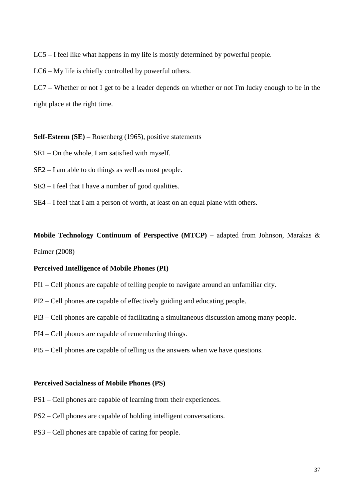LC5 – I feel like what happens in my life is mostly determined by powerful people.

LC6 – My life is chiefly controlled by powerful others.

LC7 – Whether or not I get to be a leader depends on whether or not I'm lucky enough to be in the right place at the right time.

**Self-Esteem (SE)** – Rosenberg (1965), positive statements

- SE1 On the whole, I am satisfied with myself.
- SE2 I am able to do things as well as most people.
- SE3 I feel that I have a number of good qualities.
- SE4 I feel that I am a person of worth, at least on an equal plane with others.

**Mobile Technology Continuum of Perspective (MTCP)** – adapted from Johnson, Marakas & Palmer (2008)

### **Perceived Intelligence of Mobile Phones (PI)**

- PI1 Cell phones are capable of telling people to navigate around an unfamiliar city.
- PI2 Cell phones are capable of effectively guiding and educating people.
- PI3 Cell phones are capable of facilitating a simultaneous discussion among many people.
- PI4 Cell phones are capable of remembering things.
- PI5 Cell phones are capable of telling us the answers when we have questions.

#### **Perceived Socialness of Mobile Phones (PS)**

- PS1 Cell phones are capable of learning from their experiences.
- PS2 Cell phones are capable of holding intelligent conversations.
- PS3 Cell phones are capable of caring for people.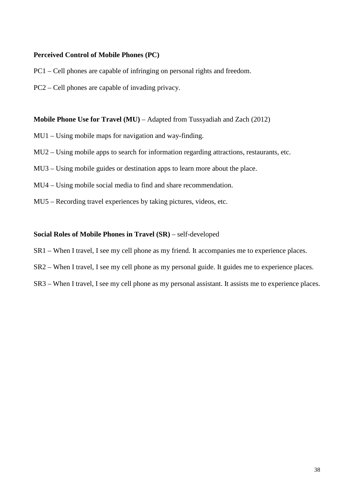## **Perceived Control of Mobile Phones (PC)**

- PC1 Cell phones are capable of infringing on personal rights and freedom.
- PC2 Cell phones are capable of invading privacy.

**Mobile Phone Use for Travel (MU)** – Adapted from Tussyadiah and Zach (2012)

- MU1 Using mobile maps for navigation and way-finding.
- MU2 Using mobile apps to search for information regarding attractions, restaurants, etc.
- MU3 Using mobile guides or destination apps to learn more about the place.
- MU4 Using mobile social media to find and share recommendation.
- MU5 Recording travel experiences by taking pictures, videos, etc.

## **Social Roles of Mobile Phones in Travel (SR)** – self-developed

- SR1 When I travel, I see my cell phone as my friend. It accompanies me to experience places.
- SR2 When I travel, I see my cell phone as my personal guide. It guides me to experience places.
- SR3 When I travel, I see my cell phone as my personal assistant. It assists me to experience places.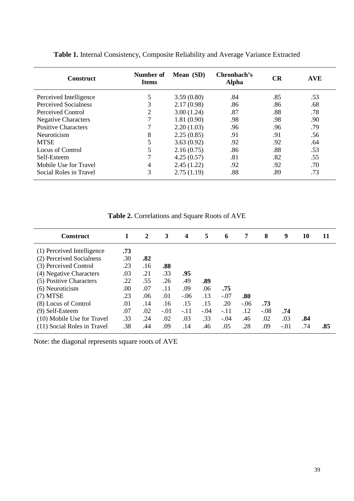| <b>Construct</b>            | Number of<br><b>Items</b> | Mean (SD)  | Chronbach's<br><b>Alpha</b> | <b>CR</b> | <b>AVE</b> |
|-----------------------------|---------------------------|------------|-----------------------------|-----------|------------|
| Perceived Intelligence      | 5                         | 3.59(0.80) | .84                         | .85       | .53        |
| <b>Perceived Socialness</b> | 3                         | 2.17(0.98) | .86                         | .86       | .68        |
| Perceived Control           | 2                         | 3.00(1.24) | .87                         | .88       | .78        |
| <b>Negative Characters</b>  | 7                         | 1.81(0.90) | .98                         | .98       | .90        |
| <b>Positive Characters</b>  | 7                         | 2.20(1.03) | .96                         | .96       | .79        |
| Neuroticism                 | 8                         | 2.25(0.85) | .91                         | .91       | .56        |
| <b>MTSE</b>                 | 5                         | 3.63(0.92) | .92                         | .92       | .64        |
| Locus of Control            | 5                         | 2.16(0.75) | .86                         | .88       | .53        |
| Self-Esteem                 | 7                         | 4.25(0.57) | .81                         | .82       | .55        |
| Mobile Use for Travel       | 4                         | 2.45(1.22) | .92                         | .92       | .70        |
| Social Roles in Travel      | 3                         | 2.75(1.19) | .88                         | .89       | .73        |

**Table 1.** Internal Consistency, Composite Reliability and Average Variance Extracted

**Table 2.** Correlations and Square Roots of AVE

| <b>Construct</b>            |     | 2   | 3      | $\boldsymbol{4}$ | 5      | 6      | 7      | 8      | 9      | 10  | 11  |
|-----------------------------|-----|-----|--------|------------------|--------|--------|--------|--------|--------|-----|-----|
| (1) Perceived Intelligence  | .73 |     |        |                  |        |        |        |        |        |     |     |
| (2) Perceived Socialness    | .30 | .82 |        |                  |        |        |        |        |        |     |     |
| (3) Perceived Control       | .23 | .16 | .88    |                  |        |        |        |        |        |     |     |
| (4) Negative Characters     | .03 | .21 | .33    | .95              |        |        |        |        |        |     |     |
| (5) Positive Characters     | .22 | .55 | .26    | .49              | .89    |        |        |        |        |     |     |
| (6) Neuroticism             | .00 | .07 | .11    | .09              | .06    | .75    |        |        |        |     |     |
| $(7)$ MTSE                  | .23 | .06 | .01    | $-.06$           | .13    | $-.07$ | .80    |        |        |     |     |
| (8) Locus of Control        | .01 | .14 | .16    | .15              | .15    | .20    | $-.06$ | .73    |        |     |     |
| (9) Self-Esteem             | .07 | .02 | $-.01$ | $-.11$           | $-.04$ | $-.11$ | .12    | $-.08$ | .74    |     |     |
| (10) Mobile Use for Travel  | .33 | .24 | .02    | .03              | .33    | $-.04$ | .46    | .02    | .03    | .84 |     |
| (11) Social Roles in Travel | .38 | .44 | .09    | .14              | .46    | .05    | .28    | .09    | $-.01$ | .74 | .85 |

Note: the diagonal represents square roots of AVE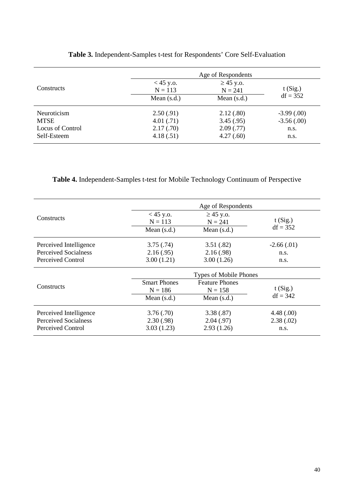|                    | Age of Respondents       |                             |               |  |  |  |
|--------------------|--------------------------|-----------------------------|---------------|--|--|--|
| <b>Constructs</b>  | $<$ 45 y.o.<br>$N = 113$ | $\geq$ 45 y.o.<br>$N = 241$ | t(Sig.)       |  |  |  |
|                    | Mean $(s.d.)$            | Mean $(s.d.)$               | $df = 352$    |  |  |  |
| <b>Neuroticism</b> | 2.50(.91)                | 2.12(.80)                   | $-3.99(0.00)$ |  |  |  |
| <b>MTSE</b>        | 4.01(.71)                | 3.45(.95)                   | $-3.56(.00)$  |  |  |  |
| Locus of Control   | 2.17(.70)                | 2.09(0.77)                  | n.s.          |  |  |  |
| Self-Esteem        | 4.18(.51)                | 4.27(.60)                   | n.s.          |  |  |  |

# **Table 3.** Independent-Samples t-test for Respondents' Core Self-Evaluation

**Table 4.** Independent-Samples t-test for Mobile Technology Continuum of Perspective

|                             | Age of Respondents                                      |                       |              |  |  |  |
|-----------------------------|---------------------------------------------------------|-----------------------|--------------|--|--|--|
| Constructs                  | $<$ 45 y.o.<br>$\geq$ 45 y.o.<br>$N = 113$<br>$N = 241$ |                       | t(Sig.)      |  |  |  |
|                             | Mean $(s.d.)$                                           | Mean $(s.d.)$         | $df = 352$   |  |  |  |
| Perceived Intelligence      | 3.75(.74)                                               | 3.51(.82)             | $-2.66(.01)$ |  |  |  |
| <b>Perceived Socialness</b> | 2.16(.95)                                               | 2.16(.98)             | n.s.         |  |  |  |
| Perceived Control           | 3.00(1.21)                                              | 3.00(1.26)            | n.s.         |  |  |  |
|                             | <b>Types of Mobile Phones</b>                           |                       |              |  |  |  |
|                             | <b>Smart Phones</b>                                     | <b>Feature Phones</b> |              |  |  |  |
| Constructs                  | $N = 186$                                               | $N = 158$             | t(Sig.)      |  |  |  |
|                             | Mean $(s.d.)$                                           | Mean $(s.d.)$         | $df = 342$   |  |  |  |
| Perceived Intelligence      | 3.76(.70)                                               | 3.38(.87)             | 4.48(.00)    |  |  |  |
| Perceived Socialness        | 2.30(.98)                                               | 2.04(.97)             | 2.38(.02)    |  |  |  |
| Perceived Control           | 3.03(1.23)                                              | 2.93(1.26)            | n.s.         |  |  |  |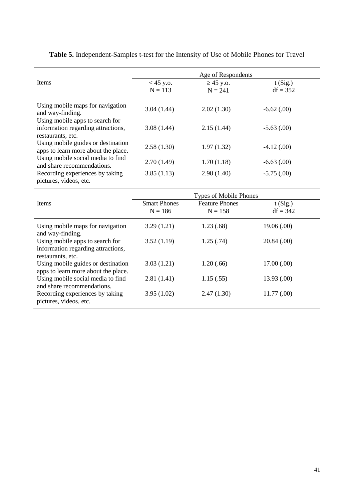|                                                                                            | Age of Respondents       |                             |                       |  |  |  |  |
|--------------------------------------------------------------------------------------------|--------------------------|-----------------------------|-----------------------|--|--|--|--|
| <b>Items</b>                                                                               | $<$ 45 y.o.<br>$N = 113$ | $\geq$ 45 y.o.<br>$N = 241$ | t(Sig.)<br>$df = 352$ |  |  |  |  |
| Using mobile maps for navigation<br>and way-finding.                                       | 3.04(1.44)               | 2.02(1.30)                  | $-6.62$ (.00)         |  |  |  |  |
| Using mobile apps to search for<br>information regarding attractions,<br>restaurants, etc. | 3.08(1.44)               | 2.15(1.44)                  | $-5.63(0.00)$         |  |  |  |  |
| Using mobile guides or destination<br>apps to learn more about the place.                  | 2.58(1.30)               | 1.97(1.32)                  | $-4.12(0.00)$         |  |  |  |  |
| Using mobile social media to find<br>and share recommendations.                            | 2.70(1.49)               | 1.70(1.18)                  | $-6.63(0.00)$         |  |  |  |  |
| Recording experiences by taking<br>pictures, videos, etc.                                  | 3.85(1.13)               | 2.98(1.40)                  | $-5.75(.00)$          |  |  |  |  |

**Table 5.** Independent-Samples t-test for the Intensity of Use of Mobile Phones for Travel

|                                                                                            |                     | <b>Types of Mobile Phones</b> |             |
|--------------------------------------------------------------------------------------------|---------------------|-------------------------------|-------------|
| <b>Items</b>                                                                               | <b>Smart Phones</b> | <b>Feature Phones</b>         | t(Sig.)     |
|                                                                                            | $N = 186$           | $N = 158$                     | $df = 342$  |
| Using mobile maps for navigation<br>and way-finding.                                       | 3.29(1.21)          | 1.23(0.68)                    | 19.06(.00)  |
| Using mobile apps to search for<br>information regarding attractions,<br>restaurants, etc. | 3.52(1.19)          | 1.25(.74)                     | 20.84(.00)  |
| Using mobile guides or destination<br>apps to learn more about the place.                  | 3.03(1.21)          | 1.20(.66)                     | 17.00(.00)  |
| Using mobile social media to find<br>and share recommendations.                            | 2.81(1.41)          | 1.15(.55)                     | 13.93(0.00) |
| Recording experiences by taking<br>pictures, videos, etc.                                  | 3.95(1.02)          | 2.47(1.30)                    | 11.77(.00)  |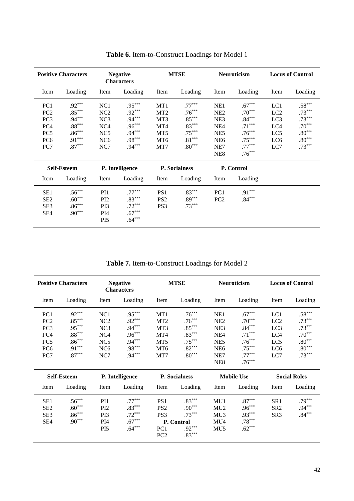|                                                                                                           | <b>Positive Characters</b>                                                       |                                                                                               | <b>Negative</b><br><b>Characters</b>                                             |                                                                                   | <b>MTSE</b>                                                                      |                                                                                                                  | Neuroticism                                                                                  |                                                           | <b>Locus of Control</b>                                                          |
|-----------------------------------------------------------------------------------------------------------|----------------------------------------------------------------------------------|-----------------------------------------------------------------------------------------------|----------------------------------------------------------------------------------|-----------------------------------------------------------------------------------|----------------------------------------------------------------------------------|------------------------------------------------------------------------------------------------------------------|----------------------------------------------------------------------------------------------|-----------------------------------------------------------|----------------------------------------------------------------------------------|
| Item                                                                                                      | Loading                                                                          | Item                                                                                          | Loading                                                                          | Item                                                                              | Loading                                                                          | Item                                                                                                             | Loading                                                                                      | Item                                                      | Loading                                                                          |
| PC <sub>1</sub><br>PC <sub>2</sub><br>PC <sub>3</sub><br>PC4<br>PC <sub>5</sub><br>PC <sub>6</sub><br>PC7 | $.92***$<br>$.85***$<br>$.94***$<br>$.88***$<br>$.86***$<br>$.91***$<br>$.87***$ | NC <sub>1</sub><br>NC <sub>2</sub><br>NC3<br>NC4<br>NC <sub>5</sub><br>NC <sub>6</sub><br>NC7 | $.95***$<br>$.92***$<br>$.94***$<br>$.96***$<br>$.94***$<br>$.98***$<br>$.94***$ | MT1<br>MT <sub>2</sub><br>MT <sub>3</sub><br>MT4<br>MT5<br>MT <sub>6</sub><br>MT7 | $.77***$<br>$.76***$<br>$.85***$<br>$.83***$<br>$.75***$<br>$.81***$<br>$.80***$ | NE <sub>1</sub><br>NE <sub>2</sub><br>NE3<br>NE <sub>4</sub><br>NE5<br>NE <sub>6</sub><br>NE7<br>NE <sub>8</sub> | $.67***$<br>$.70***$<br>$.84***$<br>$.71***$<br>$.76***$<br>$.75***$<br>$.77***$<br>$.76***$ | LC1<br>LC <sub>2</sub><br>LC3<br>LC4<br>LC5<br>LC6<br>LC7 | $.58***$<br>$.73***$<br>$.73***$<br>$.70***$<br>$.80***$<br>$.80***$<br>$.73***$ |
|                                                                                                           | <b>Self-Esteem</b>                                                               |                                                                                               | P. Intelligence                                                                  |                                                                                   | <b>P.</b> Socialness                                                             |                                                                                                                  | P. Control                                                                                   |                                                           |                                                                                  |
| Item                                                                                                      | Loading                                                                          | Item                                                                                          | Loading                                                                          | Item                                                                              | Loading                                                                          | Item                                                                                                             | Loading                                                                                      |                                                           |                                                                                  |
| SE <sub>1</sub><br>SE <sub>2</sub><br>SE3<br>SE4                                                          | $.56***$<br>$.60***$<br>$.86***$<br>$.90***$                                     | PI <sub>1</sub><br>PI <sub>2</sub><br>PI3<br>PI4<br>PI <sub>5</sub>                           | $.77***$<br>$.83***$<br>$.72***$<br>$.67***$<br>$.64***$                         | PS <sub>1</sub><br>PS <sub>2</sub><br>PS3                                         | $.83***$<br>$.89***$<br>$.73***$                                                 | PC <sub>1</sub><br>PC <sub>2</sub>                                                                               | $.91***$<br>$.84***$                                                                         |                                                           |                                                                                  |

**Table 6.** Item-to-Construct Loadings for Model 1

**Table 7.** Item-to-Construct Loadings for Model 2

|                                                                                                                       | <b>Positive Characters</b>                                                       |                                                                                                           | <b>Negative</b><br><b>Characters</b>                                             |                                                                                   | <b>MTSE</b>                                                                      |                                                                                                      | <b>Neuroticism</b>                                                                           |                                                           | <b>Locus of Control</b>                                                                      |
|-----------------------------------------------------------------------------------------------------------------------|----------------------------------------------------------------------------------|-----------------------------------------------------------------------------------------------------------|----------------------------------------------------------------------------------|-----------------------------------------------------------------------------------|----------------------------------------------------------------------------------|------------------------------------------------------------------------------------------------------|----------------------------------------------------------------------------------------------|-----------------------------------------------------------|----------------------------------------------------------------------------------------------|
| Item                                                                                                                  | Loading                                                                          | Item                                                                                                      | Loading                                                                          | Item                                                                              | Loading                                                                          | Item                                                                                                 | Loading                                                                                      | Item                                                      | Loading                                                                                      |
| PC <sub>1</sub><br>PC <sub>2</sub><br>PC <sub>3</sub><br>PC <sub>4</sub><br>PC <sub>5</sub><br>PC <sub>6</sub><br>PC7 | $.92***$<br>$.85***$<br>$.95***$<br>$.88***$<br>$.86***$<br>$.91***$<br>$.87***$ | NC1<br>NC <sub>2</sub><br>NC <sub>3</sub><br>NC <sub>4</sub><br>NC <sub>5</sub><br>NC <sub>6</sub><br>NC7 | $.95***$<br>$.92***$<br>$.94***$<br>$.96***$<br>$.94***$<br>$.98***$<br>$.94***$ | MT1<br>MT <sub>2</sub><br>MT <sub>3</sub><br>MT4<br>MT5<br>MT <sub>6</sub><br>MT7 | $.76***$<br>$.76***$<br>$.85***$<br>$.83***$<br>$.75***$<br>$.82***$<br>$.80***$ | NE1<br>NE <sub>2</sub><br>NE3<br>NE <sub>4</sub><br>NE5<br>NE <sub>6</sub><br>NE7<br>NE <sub>8</sub> | $.67***$<br>$.70***$<br>$.84***$<br>$.71***$<br>$.76***$<br>$.75***$<br>$.77***$<br>$.76***$ | LC1<br>LC <sub>2</sub><br>LC3<br>LC4<br>LC5<br>LC6<br>LC7 | $.58***$<br>$.73***$<br>$.73***$<br>$.70***$<br>$.80^{\ast\ast\ast}$<br>$.80***$<br>$.73***$ |
|                                                                                                                       | Self-Esteem                                                                      |                                                                                                           | P. Intelligence                                                                  |                                                                                   | <b>P.</b> Socialness                                                             |                                                                                                      | <b>Mobile Use</b>                                                                            |                                                           | <b>Social Roles</b>                                                                          |
| Item                                                                                                                  | Loading                                                                          | Item                                                                                                      | Loading                                                                          | Item                                                                              | Loading                                                                          | Item                                                                                                 | Loading                                                                                      | Item                                                      | Loading                                                                                      |
| SE1<br>SE <sub>2</sub><br>SE <sub>3</sub><br>SE <sub>4</sub>                                                          | $.56***$<br>$.60***$<br>$.86***$<br>$.90***$                                     | PI1<br>PI <sub>2</sub><br>PI3<br>PI4<br>PI <sub>5</sub>                                                   | $.77***$<br>$.83***$<br>$.72***$<br>$.67***$<br>$.64***$                         | PS1<br>PS <sub>2</sub><br>PS3<br>PC1<br>PC <sub>2</sub>                           | $.83***$<br>$.90***$<br>$.73***$<br>P. Control<br>$.92***$<br>$.83***$           | MU1<br>MU2<br>MU <sub>3</sub><br>MU <sub>4</sub><br>MU <sub>5</sub>                                  | $.87***$<br>$.96***$<br>$.93***$<br>$.78***$<br>$.62***$                                     | SR1<br>SR <sub>2</sub><br>SR <sub>3</sub>                 | $.79***$<br>$.94***$<br>$.84***$                                                             |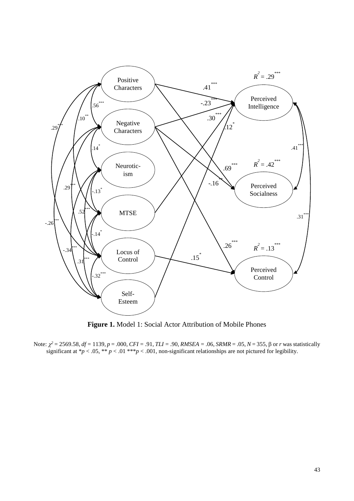

**Figure 1.** Model 1: Social Actor Attribution of Mobile Phones

Note: χ*2 =* 2569.58*, df =* 1139*, p* = .000, *CFI =* .91*, TLI =* .90*, RMSEA =* .06, *SRMR* = .05, *N* = 355, β or *r* was statistically significant at  $\gamma p < 0.05$ ,  $\gamma p < 0.01$ ,  $\gamma p < 0.001$ , non-significant relationships are not pictured for legibility.